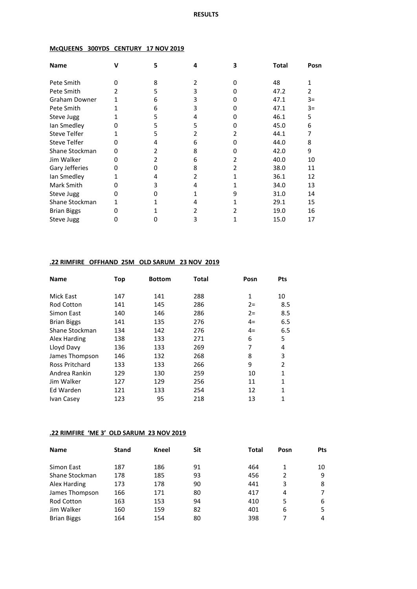#### **McQUEENS 300YDS CENTURY 17 NOV 2019**

| <b>Name</b>          |   | 5 | 4 | 3 | <b>Total</b> | Posn |
|----------------------|---|---|---|---|--------------|------|
| Pete Smith           | n | 8 | 2 |   | 48           |      |
| Pete Smith           | 2 | 5 | 3 |   | 47.2         | 2    |
| <b>Graham Downer</b> | 1 | 6 | 3 |   | 47.1         | $3=$ |
| Pete Smith           |   | 6 | 3 |   | 47.1         | $3=$ |
| Steve Jugg           |   | 5 | 4 |   | 46.1         | 5    |
| lan Smedley          | 0 | 5 | 5 |   | 45.0         | 6    |
| <b>Steve Telfer</b>  |   | 5 | 2 | 2 | 44.1         |      |
| <b>Steve Telfer</b>  | ი | 4 | 6 |   | 44.0         | 8    |
| Shane Stockman       | Ω |   | 8 |   | 42.0         | 9    |
| Jim Walker           | 0 |   | 6 |   | 40.0         | 10   |
| Gary Jefferies       | 0 |   | 8 |   | 38.0         | 11   |
| lan Smedley          |   |   | 2 |   | 36.1         | 12   |
| Mark Smith           | o | 3 | 4 |   | 34.0         | 13   |
| Steve Jugg           | 0 |   |   | 9 | 31.0         | 14   |
| Shane Stockman       |   |   | 4 |   | 29.1         | 15   |
| <b>Brian Biggs</b>   |   |   | 2 |   | 19.0         | 16   |
| Steve Jugg           | 0 |   | 3 |   | 15.0         | 17   |

#### **.22 RIMFIRE OFFHAND 25M OLD SARUM 23 NOV 2019**

| <b>Name</b>        | Top | <b>Bottom</b> | <b>Total</b> | Posn         | Pts            |
|--------------------|-----|---------------|--------------|--------------|----------------|
| <b>Mick East</b>   | 147 | 141           | 288          | $\mathbf{1}$ | 10             |
| <b>Rod Cotton</b>  | 141 | 145           | 286          | $2 =$        | 8.5            |
| Simon East         | 140 | 146           | 286          | $2 =$        | 8.5            |
| <b>Brian Biggs</b> | 141 | 135           | 276          | $4=$         | 6.5            |
| Shane Stockman     | 134 | 142           | 276          | $4=$         | 6.5            |
| Alex Harding       | 138 | 133           | 271          | 6            | 5              |
| Lloyd Davy         | 136 | 133           | 269          | 7            | 4              |
| James Thompson     | 146 | 132           | 268          | 8            | 3              |
| Ross Pritchard     | 133 | 133           | 266          | 9            | $\mathfrak{p}$ |
| Andrea Rankin      | 129 | 130           | 259          | 10           | 1              |
| Jim Walker         | 127 | 129           | 256          | 11           | 1              |
| Ed Warden          | 121 | 133           | 254          | 12           | 1              |
| Ivan Casey         | 123 | 95            | 218          | 13           | 1              |

#### **.22 RIMFIRE 'ME 3' OLD SARUM 23 NOV 2019**

| <b>Name</b>        | <b>Stand</b> | Kneel | Sit | Total | Posn | <b>Pts</b> |
|--------------------|--------------|-------|-----|-------|------|------------|
| Simon East         | 187          | 186   | 91  | 464   |      | 10         |
| Shane Stockman     | 178          | 185   | 93  | 456   | 2    | 9          |
| Alex Harding       | 173          | 178   | 90  | 441   | 3    | 8          |
| James Thompson     | 166          | 171   | 80  | 417   | 4    |            |
| <b>Rod Cotton</b>  | 163          | 153   | 94  | 410   | 5    | 6          |
| Jim Walker         | 160          | 159   | 82  | 401   | 6    | 5          |
| <b>Brian Biggs</b> | 164          | 154   | 80  | 398   |      | 4          |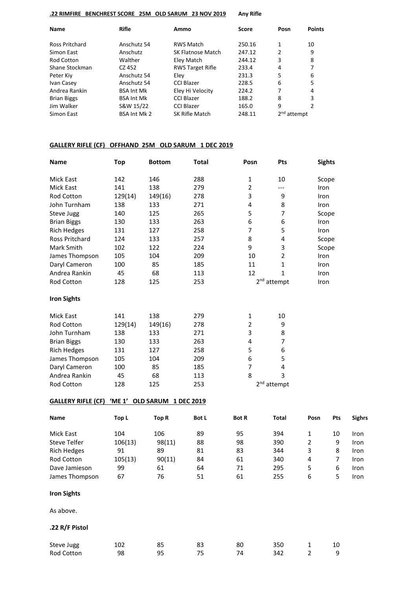#### **.22 RIMFIRE BENCHREST SCORE 25M OLD SARUM 23 NOV 2019 Any Rifle**

| Name                  | <b>Rifle</b>        | Ammo                     | Score  | Posn          | <b>Points</b> |
|-----------------------|---------------------|--------------------------|--------|---------------|---------------|
| <b>Ross Pritchard</b> | Anschutz 54         | <b>RWS Match</b>         | 250.16 | 1             | 10            |
| Simon East            | Anschutz            | <b>SK Flatnose Match</b> | 247.12 | 2             | 9             |
| Rod Cotton            | Walther             | Eley Match               | 244.12 | 3             | 8             |
| Shane Stockman        | CZ 452              | <b>RWS Target Rifle</b>  | 233.4  | 4             | 7             |
| Peter Kiy             | Anschutz 54         | Elev                     | 231.3  | 5             | 6             |
| Ivan Casey            | Anschutz 54         | <b>CCI Blazer</b>        | 228.5  | 6             | 5             |
| Andrea Rankin         | <b>BSA Int Mk</b>   | Eley Hi Velocity         | 224.2  | 7             | 4             |
| <b>Brian Biggs</b>    | <b>BSA Int Mk</b>   | <b>CCI Blazer</b>        | 188.2  | 8             | 3             |
| Jim Walker            | S&W 15/22           | <b>CCI Blazer</b>        | 165.0  | 9             | 2             |
| Simon East            | <b>BSA Int Mk 2</b> | SK Rifle Match           | 248.11 | $2nd$ attempt |               |

#### **GALLERY RIFLE (CF) OFFHAND 25M OLD SARUM 1 DEC 2019**

| Name                      | <b>Top</b> | <b>Bottom</b>               | <b>Total</b> | Posn           | Pts                     |                         | <b>Sights</b>  |        |
|---------------------------|------------|-----------------------------|--------------|----------------|-------------------------|-------------------------|----------------|--------|
| Mick East                 | 142        | 146                         | 288          | 1              | 10                      |                         | Scope          |        |
| Mick East                 | 141        | 138                         | 279          | $\overline{2}$ | ---                     | Iron                    |                |        |
| Rod Cotton                | 129(14)    | 149(16)                     | 278          | 3              | 9                       | Iron                    |                |        |
| John Turnham              | 138        | 133                         | 271          | 4              | 8                       | Iron                    |                |        |
| Steve Jugg                | 140        | 125                         | 265          | 5              | 7                       |                         | Scope          |        |
| <b>Brian Biggs</b>        | 130        | 133                         | 263          | 6              | 6                       | Iron                    |                |        |
| <b>Rich Hedges</b>        | 131        | 127                         | 258          | $\overline{7}$ | 5                       | Iron                    |                |        |
| Ross Pritchard            | 124        | 133                         | 257          | 8              | 4                       |                         | Scope          |        |
| Mark Smith                | 102        | 122                         | 224          | 9              | 3                       |                         | Scope          |        |
| James Thompson            | 105        | 104                         | 209          | 10             | $\overline{2}$          | Iron                    |                |        |
| Daryl Cameron             | 100        | 85                          | 185          | 11             | $\mathbf{1}$            | Iron                    |                |        |
| Andrea Rankin             | 45         | 68                          | 113          | 12             | $\mathbf{1}$            | Iron                    |                |        |
| Rod Cotton                | 128        | 125                         | 253          |                | $2nd$ attempt           | Iron                    |                |        |
| <b>Iron Sights</b>        |            |                             |              |                |                         |                         |                |        |
| Mick East                 | 141        | 138                         | 279          | 1              | 10                      |                         |                |        |
| Rod Cotton                | 129(14)    | 149(16)                     | 278          | $\overline{2}$ | 9                       |                         |                |        |
| John Turnham              | 138        | 133                         | 271          | 3              | 8                       |                         |                |        |
| <b>Brian Biggs</b>        | 130        | 133                         | 263          | 4              | 7                       |                         |                |        |
| <b>Rich Hedges</b>        | 131        | 127                         | 258          | 5              | 6                       |                         |                |        |
| James Thompson            | 105        | 104                         | 209          | 6              | 5                       |                         |                |        |
| Daryl Cameron             | 100        | 85                          | 185          | 7              | 4                       |                         |                |        |
| Andrea Rankin             | 45         | 68                          | 113          | 8              | 3                       |                         |                |        |
| Rod Cotton                | 128        | 125                         | 253          |                | 2 <sup>nd</sup> attempt |                         |                |        |
| <b>GALLERY RIFLE (CF)</b> |            | 'ME 1' OLD SARUM 1 DEC 2019 |              |                |                         |                         |                |        |
| Name                      | Top L      | <b>Top R</b>                | <b>Bot L</b> | <b>Bot R</b>   | <b>Total</b>            | Posn                    | Pts            | Sighrs |
| Mick East                 | 104        | 106                         | 89           | 95             | 394                     | $\mathbf{1}$            | 10             | Iron   |
| <b>Steve Telfer</b>       | 106(13)    | 98(11)                      | 88           | 98             | 390                     | $\overline{2}$          | 9              | Iron   |
| <b>Rich Hedges</b>        | 91         | 89                          | 81           | 83             | 344                     | 3                       | 8              | Iron   |
| Rod Cotton                | 105(13)    | 90(11)                      | 84           | 61             | 340                     | $\overline{\mathbf{4}}$ | $\overline{7}$ | Iron   |
| Dave Jamieson             | 99         | 61                          | 64           | 71             | 295                     | 5                       | 6              | Iron   |
| James Thompson            | 67         | 76                          | 51           | 61             | 255                     | 6                       | 5              | Iron   |
| <b>Iron Sights</b>        |            |                             |              |                |                         |                         |                |        |
| As above.                 |            |                             |              |                |                         |                         |                |        |
| .22 R/F Pistol            |            |                             |              |                |                         |                         |                |        |
| Steve Jugg                | 102        | 85                          | 83           | 80             | 350                     | $\mathbf{1}$            | 10             |        |
| Rod Cotton                | 98         | 95                          | 75           | 74             | 342                     | $\overline{2}$          | 9              |        |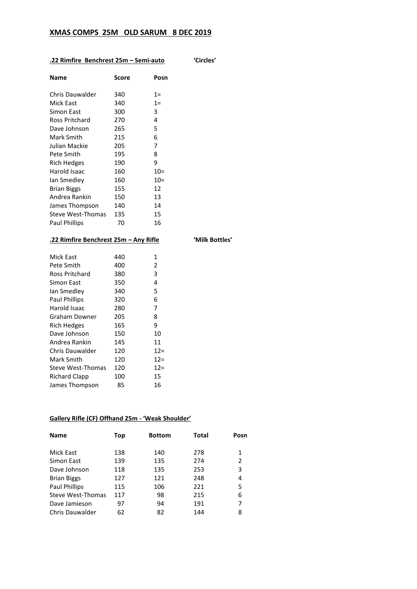# **XMAS COMPS 25M OLD SARUM 8 DEC 2019**

# **.22 Rimfire Benchrest 25m – Semi-auto 'Circles'**

| Name                     | Score | Posn  |
|--------------------------|-------|-------|
| Chris Dauwalder          | 340   | $1 =$ |
| Mick East                | 340   | $1=$  |
| Simon East               | 300   | 3     |
| Ross Pritchard           | 270   | 4     |
| Dave Johnson             | 265   | 5     |
| Mark Smith               | 215   | 6     |
| Julian Mackie            | 205   | 7     |
| Pete Smith               | 195   | 8     |
| Rich Hedges              | 190   | 9     |
| Harold Isaac             | 160   | $10=$ |
| lan Smedley              | 160   | $10=$ |
| Brian Biggs              | 155   | 12    |
| Andrea Rankin            | 150   | 13    |
| James Thompson           | 140   | 14    |
| <b>Steve West-Thomas</b> | 135   | 15    |
| Paul Phillips            | 70    | 16    |
|                          |       |       |

# **.22 Rimfire Benchrest 25m – Any Rifle 'Milk Bottles'**

| Mick East              | 440 | 1      |
|------------------------|-----|--------|
| Pete Smith             | 400 | 2      |
| <b>Ross Pritchard</b>  | 380 | 3      |
| Simon East             | 350 | 4      |
| lan Smedley            | 340 | 5      |
| <b>Paul Phillips</b>   | 320 | 6      |
| Harold Isaac           | 280 | 7      |
| Graham Downer          | 205 | 8      |
| Rich Hedges            | 165 | 9      |
| Dave Johnson           | 150 | 10     |
| Andrea Rankin          | 145 | 11     |
| <b>Chris Dauwalder</b> | 120 | $12=$  |
| Mark Smith             | 120 | $12 =$ |
| Steve West-Thomas      | 120 | $12=$  |
| Richard Clapp          | 100 | 15     |
| James Thompson         | 85  | 16     |
|                        |     |        |

# **Gallery Rifle (CF) Offhand 25m - 'Weak Shoulder'**

| Top | <b>Bottom</b> | <b>Total</b> | Posn |
|-----|---------------|--------------|------|
| 138 | 140           | 278          | 1    |
| 139 | 135           | 274          | 2    |
| 118 | 135           | 253          | 3    |
| 127 | 121           | 248          | 4    |
| 115 | 106           | 221          | 5    |
| 117 | 98            | 215          | 6    |
| 97  | 94            | 191          | 7    |
| 62  | 82            | 144          | 8    |
|     |               |              |      |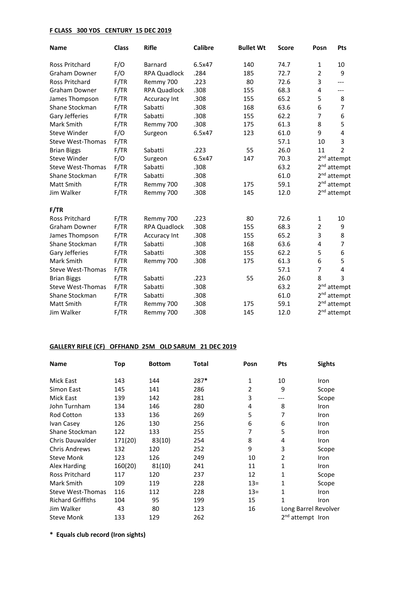# **F CLASS 300 YDS CENTURY 15 DEC 2019**

| <b>Name</b>              | <b>Class</b> | <b>Rifle</b>        | <b>Calibre</b> | <b>Bullet Wt</b> | <b>Score</b> | Posn            | Pts                     |
|--------------------------|--------------|---------------------|----------------|------------------|--------------|-----------------|-------------------------|
| <b>Ross Pritchard</b>    | F/O          | <b>Barnard</b>      | 6.5x47         | 140              | 74.7         | 1               | 10                      |
| <b>Graham Downer</b>     | F/O          | <b>RPA Quadlock</b> | .284           | 185              | 72.7         | $\overline{2}$  | 9                       |
| <b>Ross Pritchard</b>    | F/TR         | Remmy 700           | .223           | 80               | 72.6         | 3               | ---                     |
| <b>Graham Downer</b>     | F/TR         | RPA Quadlock        | .308           | 155              | 68.3         | 4               | ---                     |
| James Thompson           | F/TR         | Accuracy Int        | .308           | 155              | 65.2         | 5               | 8                       |
| Shane Stockman           | F/TR         | Sabatti             | .308           | 168              | 63.6         | 6               | 7                       |
| Gary Jefferies           | F/TR         | Sabatti             | .308           | 155              | 62.2         | 7               | 6                       |
| Mark Smith               | F/TR         | Remmy 700           | .308           | 175              | 61.3         | 8               | 5                       |
| <b>Steve Winder</b>      | F/O          | Surgeon             | 6.5x47         | 123              | 61.0         | 9               | 4                       |
| <b>Steve West-Thomas</b> | F/TR         |                     |                |                  | 57.1         | 10              | 3                       |
| <b>Brian Biggs</b>       | F/TR         | Sabatti             | .223           | 55               | 26.0         | 11              | $\overline{2}$          |
| <b>Steve Winder</b>      | F/O          | Surgeon             | 6.5x47         | 147              | 70.3         |                 | 2 <sup>nd</sup> attempt |
| <b>Steve West-Thomas</b> | F/TR         | Sabatti             | .308           |                  | 63.2         | 2 <sup>nd</sup> | attempt                 |
| Shane Stockman           | F/TR         | Sabatti             | .308           |                  | 61.0         |                 | 2 <sup>nd</sup> attempt |
| Matt Smith               | F/TR         | Remmy 700           | .308           | 175              | 59.1         |                 | 2 <sup>nd</sup> attempt |
| Jim Walker               | F/TR         | Remmy 700           | .308           | 145              | 12.0         |                 | 2 <sup>nd</sup> attempt |
| F/TR                     |              |                     |                |                  |              |                 |                         |
| <b>Ross Pritchard</b>    | F/TR         | Remmy 700           | .223           | 80               | 72.6         | 1               | 10                      |
| Graham Downer            | F/TR         | <b>RPA Quadlock</b> | .308           | 155              | 68.3         | 2               | 9                       |
| James Thompson           | F/TR         | Accuracy Int        | .308           | 155              | 65.2         | 3               | 8                       |
| Shane Stockman           | F/TR         | Sabatti             | .308           | 168              | 63.6         | 4               | 7                       |
| Gary Jefferies           | F/TR         | Sabatti             | .308           | 155              | 62.2         | 5               | 6                       |
| Mark Smith               | F/TR         | Remmy 700           | .308           | 175              | 61.3         | 6               | 5                       |
| Steve West-Thomas        | F/TR         |                     |                |                  | 57.1         | $\overline{7}$  | 4                       |
| <b>Brian Biggs</b>       | F/TR         | Sabatti             | .223           | 55               | 26.0         | 8               | 3                       |
| <b>Steve West-Thomas</b> | F/TR         | Sabatti             | .308           |                  | 63.2         |                 | 2 <sup>nd</sup> attempt |
| Shane Stockman           | F/TR         | Sabatti             | .308           |                  | 61.0         | 2 <sub>nd</sub> | attempt                 |
| Matt Smith               | F/TR         | Remmy 700           | .308           | 175              | 59.1         | 2 <sub>nd</sub> | attempt                 |
| Jim Walker               | F/TR         | Remmy 700           | .308           | 145              | 12.0         |                 | 2 <sup>nd</sup> attempt |

# **GALLERY RIFLE (CF) OFFHAND 25M OLD SARUM 21 DEC 2019**

| <b>Name</b>              | Top     | <b>Bottom</b> | Total | Posn   | <b>Pts</b>     | <b>Sights</b>                |
|--------------------------|---------|---------------|-------|--------|----------------|------------------------------|
| <b>Mick East</b>         | 143     | 144           | 287*  | 1      | 10             | Iron                         |
| Simon East               | 145     | 141           | 286   | 2      | 9              | Scope                        |
| <b>Mick East</b>         | 139     | 142           | 281   | 3      | ---            | Scope                        |
| John Turnham             | 134     | 146           | 280   | 4      | 8              | Iron                         |
| <b>Rod Cotton</b>        | 133     | 136           | 269   | 5      | 7              | Iron                         |
| Ivan Casey               | 126     | 130           | 256   | 6      | 6              | Iron                         |
| Shane Stockman           | 122     | 133           | 255   | 7      | 5              | Iron                         |
| Chris Dauwalder          | 171(20) | 83(10)        | 254   | 8      | 4              | Iron                         |
| <b>Chris Andrews</b>     | 132     | 120           | 252   | 9      | 3              | Scope                        |
| <b>Steve Monk</b>        | 123     | 126           | 249   | 10     | $\overline{2}$ | Iron                         |
| Alex Harding             | 160(20) | 81(10)        | 241   | 11     | 1              | Iron                         |
| <b>Ross Pritchard</b>    | 117     | 120           | 237   | 12     | 1              | Scope                        |
| Mark Smith               | 109     | 119           | 228   | $13 =$ | 1              | Scope                        |
| <b>Steve West-Thomas</b> | 116     | 112           | 228   | $13 =$ | 1              | Iron                         |
| <b>Richard Griffiths</b> | 104     | 95            | 199   | 15     | 1              | Iron                         |
| Jim Walker               | 43      | 80            | 123   | 16     |                | Long Barrel Revolver         |
| <b>Steve Monk</b>        | 133     | 129           | 262   |        |                | 2 <sup>nd</sup> attempt Iron |

**\* Equals club record (Iron sights)**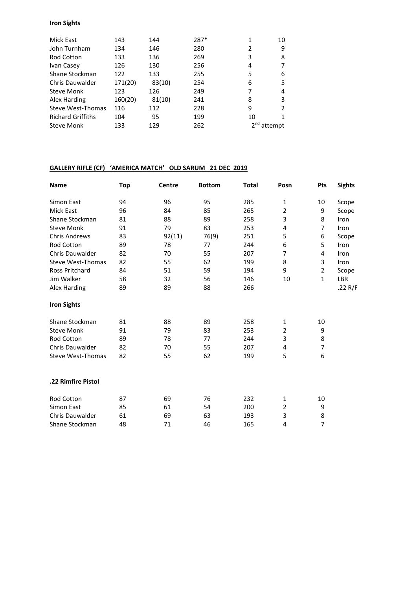#### **Iron Sights**

| Mick East                | 143     | 144    | 287* |               | 10 |
|--------------------------|---------|--------|------|---------------|----|
| John Turnham             | 134     | 146    | 280  | 2             | 9  |
| <b>Rod Cotton</b>        | 133     | 136    | 269  | 3             | 8  |
| Ivan Casey               | 126     | 130    | 256  | 4             | 7  |
| Shane Stockman           | 122     | 133    | 255  | 5             | 6  |
| <b>Chris Dauwalder</b>   | 171(20) | 83(10) | 254  | 6             | 5  |
| <b>Steve Monk</b>        | 123     | 126    | 249  | 7             | 4  |
| Alex Harding             | 160(20) | 81(10) | 241  | 8             | 3  |
| <b>Steve West-Thomas</b> | 116     | 112    | 228  | 9             | 2  |
| <b>Richard Griffiths</b> | 104     | 95     | 199  | 10            | 1  |
| Steve Monk               | 133     | 129    | 262  | $2nd$ attempt |    |

# **GALLERY RIFLE (CF) 'AMERICA MATCH' OLD SARUM 21 DEC 2019**

| <b>Name</b>              | Top      | Centre   | <b>Bottom</b> | <b>Total</b> | Posn           | Pts            | <b>Sights</b> |
|--------------------------|----------|----------|---------------|--------------|----------------|----------------|---------------|
| Simon East               | 94       | 96       | 95            | 285          | $\mathbf{1}$   | 10             | Scope         |
| <b>Mick East</b>         | 96       | 84       | 85            | 265          | $\overline{2}$ | 9              | Scope         |
| Shane Stockman           | 81       | 88       | 89            | 258          | 3              | 8              | Iron          |
| <b>Steve Monk</b>        | 91       | 79       | 83            | 253          | 4              | $\overline{7}$ | Iron          |
| <b>Chris Andrews</b>     | 83       | 92(11)   | 76(9)         | 251          | 5              | 6              | Scope         |
| Rod Cotton               | 89       | 78       | 77            | 244          | 6              | 5              | Iron          |
| <b>Chris Dauwalder</b>   | 82       | 70       | 55            | 207          | 7              | 4              | Iron          |
| <b>Steve West-Thomas</b> | 82       | 55       | 62            | 199          | 8              | 3              | Iron          |
| <b>Ross Pritchard</b>    | 84       | 51       | 59            | 194          | 9              | 2              | Scope         |
| Jim Walker               | 58       | 32       | 56            | 146          | 10             | $\mathbf{1}$   | LBR           |
| <b>Alex Harding</b>      | 89       | 89       | 88            | 266          |                |                | .22 $R/F$     |
| <b>Iron Sights</b>       |          |          |               |              |                |                |               |
| Shane Stockman           | 81       | 88       | 89            | 258          | $\mathbf{1}$   | 10             |               |
| <b>Steve Monk</b>        | 91       | 79       | 83            | 253          | $\overline{2}$ | 9              |               |
| Rod Cotton               | 89       | 78       | 77            | 244          | 3              | 8              |               |
| Chris Dauwalder          | 82       | 70       | 55            | 207          | 4              | 7              |               |
| Steve West-Thomas        | 82       | 55       | 62            | 199          | 5              | 6              |               |
| .22 Rimfire Pistol       |          |          |               |              |                |                |               |
| <b>Rod Cotton</b>        | 87       | 69       | 76            | 232          | $\mathbf{1}$   | 10             |               |
| Simon East               |          |          |               |              | $\overline{2}$ |                |               |
| <b>Chris Dauwalder</b>   | 85<br>61 | 61<br>69 | 54<br>63      | 200<br>193   | 3              | 9<br>8         |               |
|                          |          |          |               |              | 4              | 7              |               |
| Shane Stockman           | 48       | 71       | 46            | 165          |                |                |               |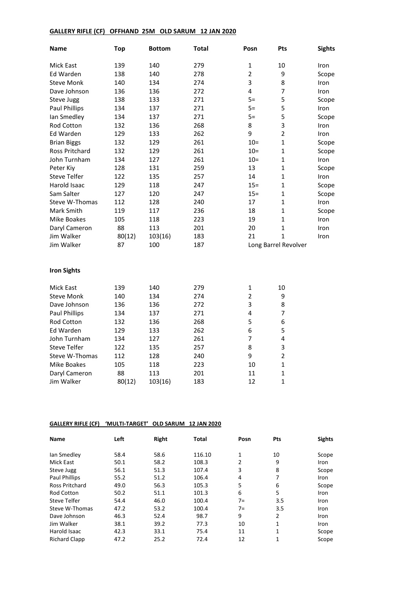# **GALLERY RIFLE (CF) OFFHAND 25M OLD SARUM 12 JAN 2020**

| <b>Name</b>           | <b>Top</b> | <b>Bottom</b> | Total | Posn           | Pts                     | <b>Sights</b> |  |
|-----------------------|------------|---------------|-------|----------------|-------------------------|---------------|--|
| Mick East             | 139        | 140           | 279   | 1              | 10                      | Iron          |  |
| Ed Warden             | 138        | 140           | 278   | $\overline{2}$ | 9                       | Scope         |  |
| <b>Steve Monk</b>     | 140        | 134           | 274   | 3              | 8                       | Iron          |  |
| Dave Johnson          | 136        | 136           | 272   | 4              | 7                       | Iron          |  |
| Steve Jugg            | 138        | 133           | 271   | $5=$           | 5                       | Scope         |  |
| <b>Paul Phillips</b>  | 134        | 137           | 271   | $5=$           | 5                       | Iron          |  |
| lan Smedley           | 134        | 137           | 271   | $5=$           | 5                       | Scope         |  |
| Rod Cotton            | 132        | 136           | 268   | 8              | 3                       | Iron          |  |
| Ed Warden             | 129        | 133           | 262   | 9              | $\overline{2}$          | Iron          |  |
| <b>Brian Biggs</b>    | 132        | 129           | 261   | $10=$          | $\mathbf{1}$            | Scope         |  |
| <b>Ross Pritchard</b> | 132        | 129           | 261   | $10 =$         | $\mathbf{1}$            | Scope         |  |
| John Turnham          | 134        | 127           | 261   | $10 =$         | $\mathbf{1}$            | Iron          |  |
| Peter Kiy             | 128        | 131           | 259   | 13             | $\mathbf{1}$            | Scope         |  |
| Steve Telfer          | 122        | 135           | 257   | 14             | 1                       | Iron          |  |
| Harold Isaac          | 129        | 118           | 247   | $15 =$         | $\mathbf{1}$            | Scope         |  |
| Sam Salter            | 127        | 120           | 247   | $15 =$         | $\mathbf{1}$            | Scope         |  |
| <b>Steve W-Thomas</b> | 112        | 128           | 240   | 17             | $\mathbf{1}$            | Iron          |  |
| Mark Smith            | 119        | 117           | 236   | 18             | 1                       | Scope         |  |
| Mike Boakes           | 105        | 118           | 223   | 19             | $\mathbf{1}$            | Iron          |  |
| Daryl Cameron         | 88         | 113           | 201   | 20             | $\mathbf{1}$            | Iron          |  |
| Jim Walker            | 80(12)     | 103(16)       | 183   | 21             | $\mathbf{1}$            | Iron          |  |
| Jim Walker            | 87         | 100           | 187   |                | Long Barrel Revolver    |               |  |
| <b>Iron Sights</b>    |            |               |       |                |                         |               |  |
| Mick East             | 139        | 140           | 279   | 1              | 10                      |               |  |
| <b>Steve Monk</b>     | 140        | 134           | 274   | $\overline{2}$ | 9                       |               |  |
| Dave Johnson          | 136        | 136           | 272   | 3              | 8                       |               |  |
| <b>Paul Phillips</b>  | 134        | 137           | 271   | 4              | 7                       |               |  |
| Rod Cotton            | 132        | 136           | 268   | 5              | 6                       |               |  |
| Ed Warden             | 129        | 133           | 262   | 6              | 5                       |               |  |
| John Turnham          | 134        | 127           | 261   | $\overline{7}$ | $\overline{\mathbf{4}}$ |               |  |
| <b>Steve Telfer</b>   | 122        | 135           | 257   | 8              | 3                       |               |  |
| Steve W-Thomas        | 112        | 128           | 240   | 9              | $\overline{2}$          |               |  |
| Mike Boakes           | 105        | 118           | 223   | 10             | $\mathbf{1}$            |               |  |
| Daryl Cameron         | 88         | 113           | 201   | 11             | $\mathbf{1}$            |               |  |
| Jim Walker            | 80(12)     | 103(16)       | 183   | 12             | $\mathbf{1}$            |               |  |
|                       |            |               |       |                |                         |               |  |

# **GALLERY RIFLE (CF) 'MULTI-TARGET' OLD SARUM 12 JAN 2020**

| Name                  | Left | <b>Right</b> | <b>Total</b> | Posn  | Pts | <b>Sights</b> |
|-----------------------|------|--------------|--------------|-------|-----|---------------|
| lan Smedley           | 58.4 | 58.6         | 116.10       | 1     | 10  | Scope         |
| Mick East             | 50.1 | 58.2         | 108.3        | 2     | 9   | Iron          |
| Steve Jugg            | 56.1 | 51.3         | 107.4        | 3     | 8   | Scope         |
| <b>Paul Phillips</b>  | 55.2 | 51.2         | 106.4        | 4     | 7   | Iron          |
| <b>Ross Pritchard</b> | 49.0 | 56.3         | 105.3        | 5     | 6   | Scope         |
| <b>Rod Cotton</b>     | 50.2 | 51.1         | 101.3        | 6     | 5   | Iron          |
| Steve Telfer          | 54.4 | 46.0         | 100.4        | $7 =$ | 3.5 | Iron          |
| Steve W-Thomas        | 47.2 | 53.2         | 100.4        | $7=$  | 3.5 | Iron          |
| Dave Johnson          | 46.3 | 52.4         | 98.7         | 9     | 2   | Iron          |
| Jim Walker            | 38.1 | 39.2         | 77.3         | 10    | 1   | Iron          |
| Harold Isaac          | 42.3 | 33.1         | 75.4         | 11    | 1   | Scope         |
| <b>Richard Clapp</b>  | 47.2 | 25.2         | 72.4         | 12    | 1   | Scope         |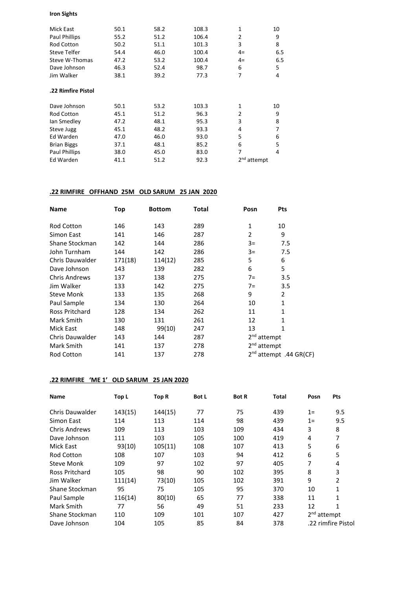#### **Iron Sights**

| Mick East            | 50.1 | 58.2 | 108.3 | 1                       | 10  |
|----------------------|------|------|-------|-------------------------|-----|
| <b>Paul Phillips</b> | 55.2 | 51.2 | 106.4 | $\overline{2}$          | 9   |
| <b>Rod Cotton</b>    | 50.2 | 51.1 | 101.3 | 3                       | 8   |
| Steve Telfer         | 54.4 | 46.0 | 100.4 | $4=$                    | 6.5 |
| Steve W-Thomas       | 47.2 | 53.2 | 100.4 | $4=$                    | 6.5 |
| Dave Johnson         | 46.3 | 52.4 | 98.7  | 6                       | 5   |
| Jim Walker           | 38.1 | 39.2 | 77.3  | 7                       | 4   |
| .22 Rimfire Pistol   |      |      |       |                         |     |
| Dave Johnson         | 50.1 | 53.2 | 103.3 | $\mathbf{1}$            | 10  |
| <b>Rod Cotton</b>    | 45.1 | 51.2 | 96.3  | $\overline{2}$          | 9   |
| lan Smedley          | 47.2 | 48.1 | 95.3  | 3                       | 8   |
| Steve Jugg           | 45.1 | 48.2 | 93.3  | 4                       | 7   |
| Ed Warden            | 47.0 | 46.0 | 93.0  | 5                       | 6   |
| <b>Brian Biggs</b>   | 37.1 | 48.1 | 85.2  | 6                       | 5   |
| <b>Paul Phillips</b> | 38.0 | 45.0 | 83.0  | 7                       | 4   |
| <b>Ed Warden</b>     | 41.1 | 51.2 | 92.3  | 2 <sup>nd</sup> attempt |     |
|                      |      |      |       |                         |     |

# **.22 RIMFIRE OFFHAND 25M OLD SARUM 25 JAN 2020**

| Name                   | Top     | <b>Bottom</b> | Total | Posn                    | <b>Pts</b>                         |  |
|------------------------|---------|---------------|-------|-------------------------|------------------------------------|--|
| Rod Cotton             | 146     | 143           | 289   | 1                       | 10                                 |  |
| Simon East             | 141     | 146           | 287   | 2                       | 9                                  |  |
| Shane Stockman         | 142     | 144           | 286   | $3=$                    | 7.5                                |  |
| John Turnham           | 144     | 142           | 286   | $3=$                    | 7.5                                |  |
| Chris Dauwalder        | 171(18) | 114(12)       | 285   | 5                       | 6                                  |  |
| Dave Johnson           | 143     | 139           | 282   | 6                       | 5                                  |  |
| <b>Chris Andrews</b>   | 137     | 138           | 275   | $7=$                    | 3.5                                |  |
| Jim Walker             | 133     | 142           | 275   | $7=$                    | 3.5                                |  |
| <b>Steve Monk</b>      | 133     | 135           | 268   | 9                       | $\overline{2}$                     |  |
| Paul Sample            | 134     | 130           | 264   | 10                      | 1                                  |  |
| <b>Ross Pritchard</b>  | 128     | 134           | 262   | 11                      | 1                                  |  |
| Mark Smith             | 130     | 131           | 261   | 12                      | $\mathbf{1}$                       |  |
| <b>Mick East</b>       | 148     | 99(10)        | 247   | 13                      | 1                                  |  |
| <b>Chris Dauwalder</b> | 143     | 144           | 287   | 2 <sup>nd</sup> attempt |                                    |  |
| Mark Smith             | 141     | 137           | 278   | 2 <sup>nd</sup> attempt |                                    |  |
| Rod Cotton             | 141     | 137           | 278   |                         | 2 <sup>nd</sup> attempt .44 GR(CF) |  |

# **.22 RIMFIRE 'ME 1' OLD SARUM 25 JAN 2020**

| <b>Name</b>          | Top L   | Top R   | <b>Bot L</b> | <b>Bot R</b> | <b>Total</b> | Posn          | <b>Pts</b>         |
|----------------------|---------|---------|--------------|--------------|--------------|---------------|--------------------|
| Chris Dauwalder      | 143(15) | 144(15) | 77           | 75           | 439          | $1=$          | 9.5                |
| Simon East           | 114     | 113     | 114          | 98           | 439          | $1=$          | 9.5                |
| <b>Chris Andrews</b> | 109     | 113     | 103          | 109          | 434          | 3             | 8                  |
| Dave Johnson         | 111     | 103     | 105          | 100          | 419          | 4             | 7                  |
| Mick East            | 93(10)  | 105(11) | 108          | 107          | 413          | 5             | 6                  |
| Rod Cotton           | 108     | 107     | 103          | 94           | 412          | 6             | 5                  |
| Steve Monk           | 109     | 97      | 102          | 97           | 405          | 7             | 4                  |
| Ross Pritchard       | 105     | 98      | 90           | 102          | 395          | 8             | 3                  |
| Jim Walker           | 111(14) | 73(10)  | 105          | 102          | 391          | 9             | $\overline{2}$     |
| Shane Stockman       | 95      | 75      | 105          | 95           | 370          | 10            | 1                  |
| Paul Sample          | 116(14) | 80(10)  | 65           | 77           | 338          | 11            | 1                  |
| Mark Smith           | 77      | 56      | 49           | 51           | 233          | 12            | 1                  |
| Shane Stockman       | 110     | 109     | 101          | 107          | 427          | $2nd$ attempt |                    |
| Dave Johnson         | 104     | 105     | 85           | 84           | 378          |               | .22 rimfire Pistol |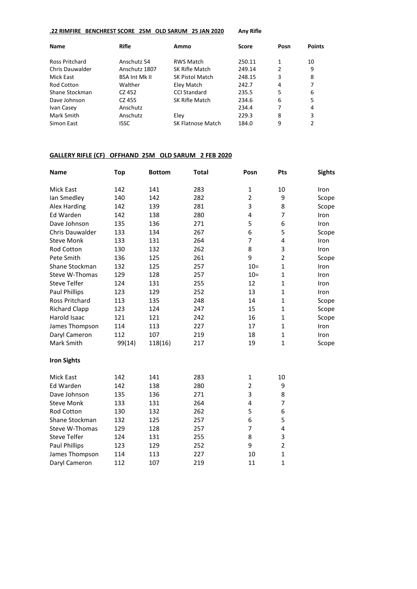#### **.22 RIMFIRE BENCHREST SCORE 25M OLD SARUM 25 JAN 2020 Any Rifle**

| <b>Name</b>           | <b>Rifle</b>         | Score<br>Ammo            |        | Posn | <b>Points</b> |
|-----------------------|----------------------|--------------------------|--------|------|---------------|
| <b>Ross Pritchard</b> | Anschutz 54          | <b>RWS Match</b>         | 250.11 | 1    | 10            |
|                       |                      |                          |        |      |               |
| Chris Dauwalder       | Anschutz 1807        | SK Rifle Match           | 249.14 | 2    | 9             |
| Mick East             | <b>BSA Int Mk II</b> | <b>SK Pistol Match</b>   | 248.15 | 3    | 8             |
| <b>Rod Cotton</b>     | Walther              | Eley Match               | 242.7  | 4    |               |
| Shane Stockman        | CZ 452               | CCLStandard              | 235.5  | 5    | 6             |
| Dave Johnson          | CZ 455               | SK Rifle Match           | 234.6  | 6    | 5             |
| Ivan Casey            | Anschutz             |                          | 234.4  | 7    | 4             |
| Mark Smith            | Anschutz             | Eley                     | 229.3  | 8    | 3             |
| Simon East            | <b>ISSC</b>          | <b>SK Flatnose Match</b> | 184.0  | 9    |               |

# **GALLERY RIFLE (CF) OFFHAND 25M OLD SARUM 2 FEB 2020**

| <b>Name</b>          | <b>Top</b> | <b>Bottom</b> | <b>Total</b> | Posn           | Pts            | <b>Sights</b> |
|----------------------|------------|---------------|--------------|----------------|----------------|---------------|
| Mick East            | 142        | 141           | 283          | 1              | 10             | Iron          |
| Ian Smedley          | 140        | 142           | 282          | $\overline{2}$ | 9              | Scope         |
| Alex Harding         | 142        | 139           | 281          | 3              | 8              | Scope         |
| Ed Warden            | 142        | 138           | 280          | 4              | 7              | Iron          |
| Dave Johnson         | 135        | 136           | 271          | 5              | 6              | Iron          |
| Chris Dauwalder      | 133        | 134           | 267          | 6              | 5              | Scope         |
| <b>Steve Monk</b>    | 133        | 131           | 264          | 7              | 4              | Iron          |
| Rod Cotton           | 130        | 132           | 262          | 8              | 3              | Iron          |
| Pete Smith           | 136        | 125           | 261          | 9              | $\overline{2}$ | Scope         |
| Shane Stockman       | 132        | 125           | 257          | $10 =$         | $\mathbf{1}$   | Iron          |
| Steve W-Thomas       | 129        | 128           | 257          | $10 =$         | $\mathbf{1}$   | Iron          |
| <b>Steve Telfer</b>  | 124        | 131           | 255          | 12             | $\mathbf{1}$   | Iron          |
| Paul Phillips        | 123        | 129           | 252          | 13             | $\mathbf{1}$   | Iron          |
| Ross Pritchard       | 113        | 135           | 248          | 14             | $\mathbf{1}$   | Scope         |
| <b>Richard Clapp</b> | 123        | 124           | 247          | 15             | $\mathbf{1}$   | Scope         |
| Harold Isaac         | 121        | 121           | 242          | 16             | $\mathbf{1}$   | Scope         |
| James Thompson       | 114        | 113           | 227          | 17             | $\mathbf{1}$   | Iron          |
| Daryl Cameron        | 112        | 107           | 219          | 18             | $\mathbf{1}$   | Iron          |
| Mark Smith           | 99(14)     | 118(16)       | 217          | 19             | $\mathbf{1}$   | Scope         |
| <b>Iron Sights</b>   |            |               |              |                |                |               |
| Mick East            | 142        | 141           | 283          | 1              | 10             |               |
| Ed Warden            | 142        | 138           | 280          | $\overline{2}$ | 9              |               |
| Dave Johnson         | 135        | 136           | 271          | 3              | 8              |               |
| <b>Steve Monk</b>    | 133        | 131           | 264          | 4              | 7              |               |
| Rod Cotton           | 130        | 132           | 262          | 5              | 6              |               |
| Shane Stockman       | 132        | 125           | 257          | 6              | 5              |               |
| Steve W-Thomas       | 129        | 128           | 257          | 7              | 4              |               |
| <b>Steve Telfer</b>  | 124        | 131           | 255          | 8              | 3              |               |
| Paul Phillips        | 123        | 129           | 252          | 9              | $\overline{2}$ |               |
| James Thompson       | 114        | 113           | 227          | 10             | $\mathbf{1}$   |               |
| Daryl Cameron        | 112        | 107           | 219          | 11             | 1              |               |